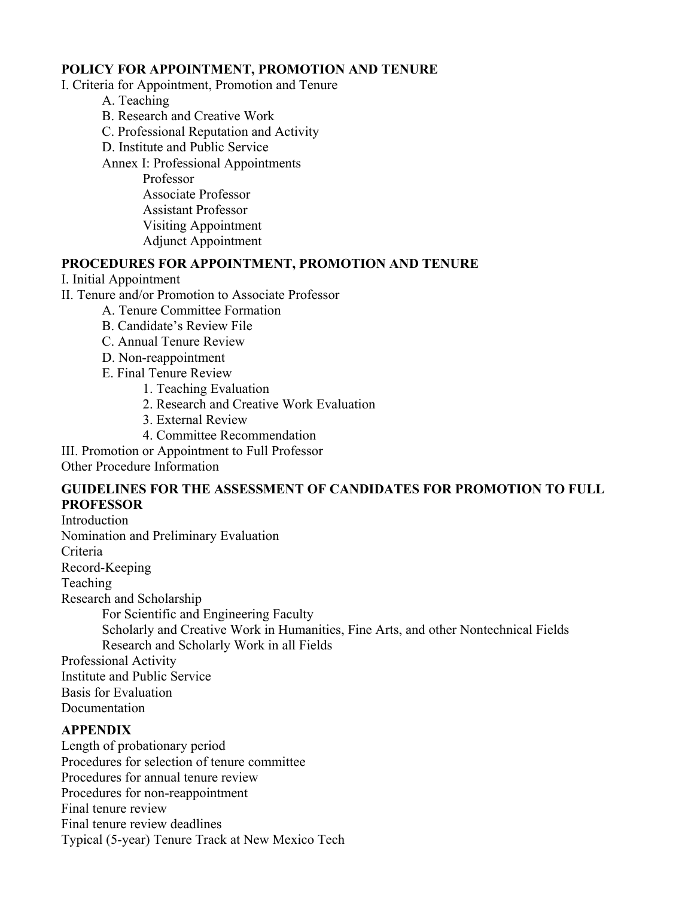#### **POLICY FOR APPOINTMENT, PROMOTION AND TENURE**

I. Criteria for Appointment, Promotion and Tenure

- A. Teaching
- B. Research and Creative Work
- C. Professional Reputation and Activity
- D. Institute and Public Service

Annex I: Professional Appointments

 Professor Associate Professor Assistant Professor Visiting Appointment Adjunct Appointment

#### **PROCEDURES FOR APPOINTMENT, PROMOTION AND TENURE**

#### I. Initial Appointment

II. Tenure and/or Promotion to Associate Professor

- A. Tenure Committee Formation
	- B. Candidate's Review File
	- C. Annual Tenure Review
	- D. Non-reappointment
	- E. Final Tenure Review
		- 1. Teaching Evaluation
		- 2. Research and Creative Work Evaluation
		- 3. External Review
		- 4. Committee Recommendation

III. Promotion or Appointment to Full Professor

Other Procedure Information

# **GUIDELINES FOR THE ASSESSMENT OF CANDIDATES FOR PROMOTION TO FULL PROFESSOR**

Introduction Nomination and Preliminary Evaluation Criteria Record-Keeping Teaching Research and Scholarship For Scientific and Engineering Faculty Scholarly and Creative Work in Humanities, Fine Arts, and other Nontechnical Fields Research and Scholarly Work in all Fields Professional Activity Institute and Public Service

Basis for Evaluation

Documentation

# **APPENDIX**

Length of probationary period Procedures for selection of tenure committee Procedures for annual tenure review Procedures for non-reappointment Final tenure review Final tenure review deadlines Typical (5-year) Tenure Track at New Mexico Tech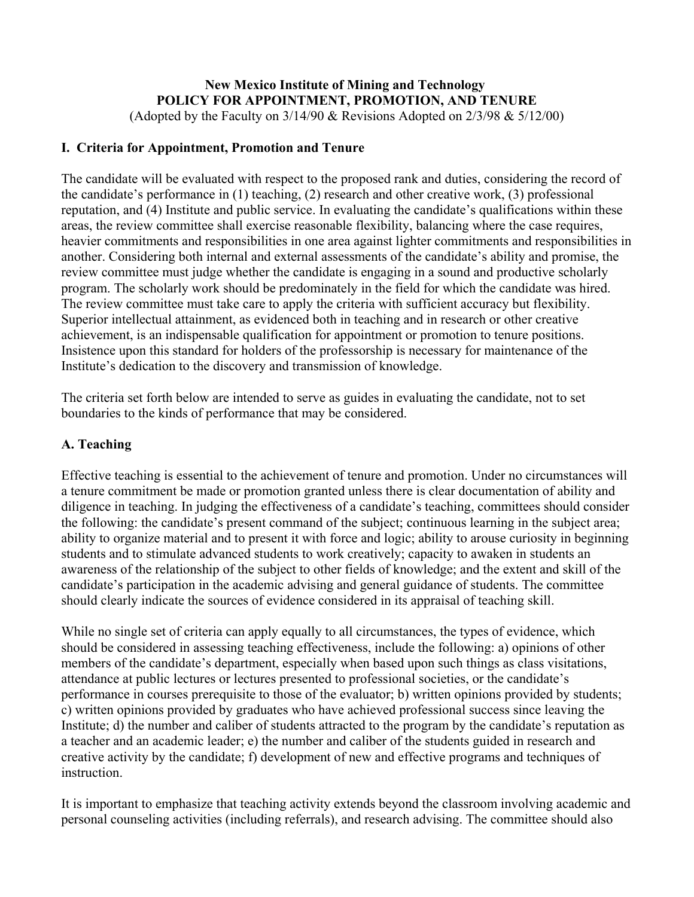# **New Mexico Institute of Mining and Technology POLICY FOR APPOINTMENT, PROMOTION, AND TENURE**

(Adopted by the Faculty on  $3/14/90$  & Revisions Adopted on  $2/3/98$  &  $5/12/00$ )

# **I. Criteria for Appointment, Promotion and Tenure**

The candidate will be evaluated with respect to the proposed rank and duties, considering the record of the candidate's performance in (1) teaching, (2) research and other creative work, (3) professional reputation, and (4) Institute and public service. In evaluating the candidate's qualifications within these areas, the review committee shall exercise reasonable flexibility, balancing where the case requires, heavier commitments and responsibilities in one area against lighter commitments and responsibilities in another. Considering both internal and external assessments of the candidate's ability and promise, the review committee must judge whether the candidate is engaging in a sound and productive scholarly program. The scholarly work should be predominately in the field for which the candidate was hired. The review committee must take care to apply the criteria with sufficient accuracy but flexibility. Superior intellectual attainment, as evidenced both in teaching and in research or other creative achievement, is an indispensable qualification for appointment or promotion to tenure positions. Insistence upon this standard for holders of the professorship is necessary for maintenance of the Institute's dedication to the discovery and transmission of knowledge.

The criteria set forth below are intended to serve as guides in evaluating the candidate, not to set boundaries to the kinds of performance that may be considered.

# **A. Teaching**

Effective teaching is essential to the achievement of tenure and promotion. Under no circumstances will a tenure commitment be made or promotion granted unless there is clear documentation of ability and diligence in teaching. In judging the effectiveness of a candidate's teaching, committees should consider the following: the candidate's present command of the subject; continuous learning in the subject area; ability to organize material and to present it with force and logic; ability to arouse curiosity in beginning students and to stimulate advanced students to work creatively; capacity to awaken in students an awareness of the relationship of the subject to other fields of knowledge; and the extent and skill of the candidate's participation in the academic advising and general guidance of students. The committee should clearly indicate the sources of evidence considered in its appraisal of teaching skill.

While no single set of criteria can apply equally to all circumstances, the types of evidence, which should be considered in assessing teaching effectiveness, include the following: a) opinions of other members of the candidate's department, especially when based upon such things as class visitations, attendance at public lectures or lectures presented to professional societies, or the candidate's performance in courses prerequisite to those of the evaluator; b) written opinions provided by students; c) written opinions provided by graduates who have achieved professional success since leaving the Institute; d) the number and caliber of students attracted to the program by the candidate's reputation as a teacher and an academic leader; e) the number and caliber of the students guided in research and creative activity by the candidate; f) development of new and effective programs and techniques of instruction.

It is important to emphasize that teaching activity extends beyond the classroom involving academic and personal counseling activities (including referrals), and research advising. The committee should also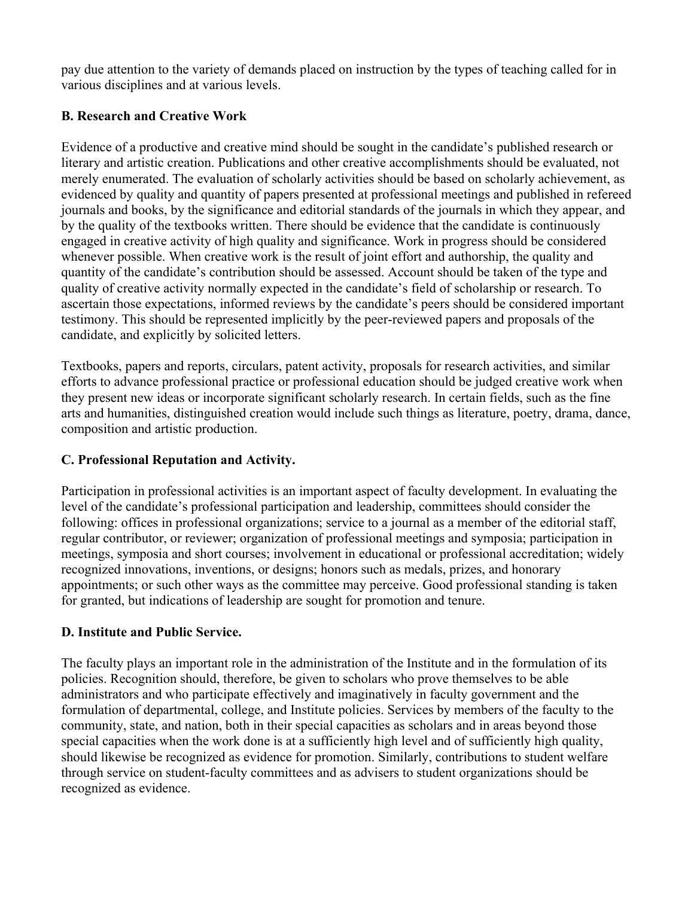pay due attention to the variety of demands placed on instruction by the types of teaching called for in various disciplines and at various levels.

# **B. Research and Creative Work**

Evidence of a productive and creative mind should be sought in the candidate's published research or literary and artistic creation. Publications and other creative accomplishments should be evaluated, not merely enumerated. The evaluation of scholarly activities should be based on scholarly achievement, as evidenced by quality and quantity of papers presented at professional meetings and published in refereed journals and books, by the significance and editorial standards of the journals in which they appear, and by the quality of the textbooks written. There should be evidence that the candidate is continuously engaged in creative activity of high quality and significance. Work in progress should be considered whenever possible. When creative work is the result of joint effort and authorship, the quality and quantity of the candidate's contribution should be assessed. Account should be taken of the type and quality of creative activity normally expected in the candidate's field of scholarship or research. To ascertain those expectations, informed reviews by the candidate's peers should be considered important testimony. This should be represented implicitly by the peer-reviewed papers and proposals of the candidate, and explicitly by solicited letters.

Textbooks, papers and reports, circulars, patent activity, proposals for research activities, and similar efforts to advance professional practice or professional education should be judged creative work when they present new ideas or incorporate significant scholarly research. In certain fields, such as the fine arts and humanities, distinguished creation would include such things as literature, poetry, drama, dance, composition and artistic production.

# **C. Professional Reputation and Activity.**

Participation in professional activities is an important aspect of faculty development. In evaluating the level of the candidate's professional participation and leadership, committees should consider the following: offices in professional organizations; service to a journal as a member of the editorial staff, regular contributor, or reviewer; organization of professional meetings and symposia; participation in meetings, symposia and short courses; involvement in educational or professional accreditation; widely recognized innovations, inventions, or designs; honors such as medals, prizes, and honorary appointments; or such other ways as the committee may perceive. Good professional standing is taken for granted, but indications of leadership are sought for promotion and tenure.

# **D. Institute and Public Service.**

The faculty plays an important role in the administration of the Institute and in the formulation of its policies. Recognition should, therefore, be given to scholars who prove themselves to be able administrators and who participate effectively and imaginatively in faculty government and the formulation of departmental, college, and Institute policies. Services by members of the faculty to the community, state, and nation, both in their special capacities as scholars and in areas beyond those special capacities when the work done is at a sufficiently high level and of sufficiently high quality, should likewise be recognized as evidence for promotion. Similarly, contributions to student welfare through service on student-faculty committees and as advisers to student organizations should be recognized as evidence.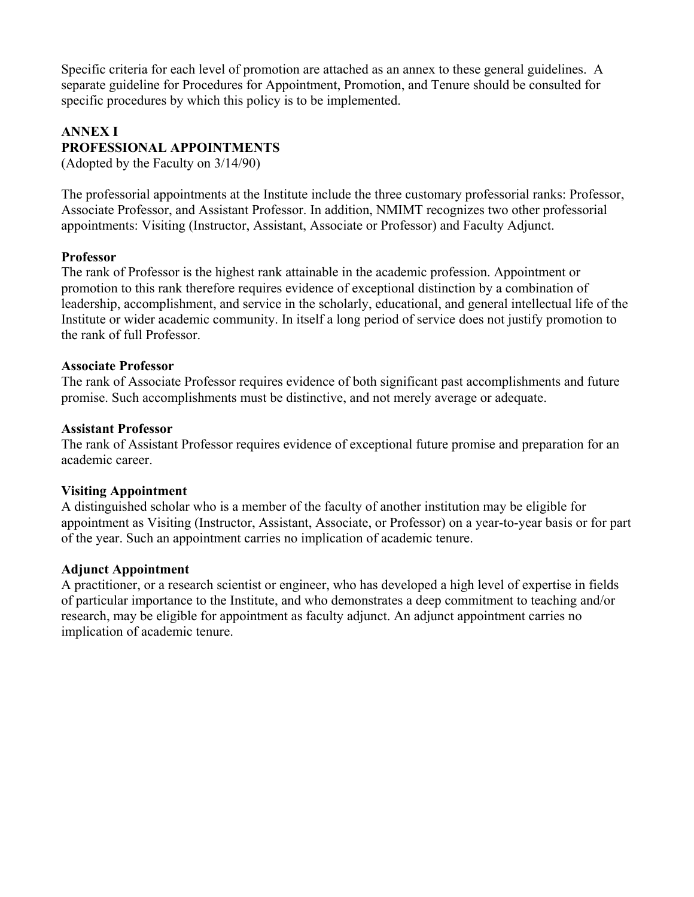Specific criteria for each level of promotion are attached as an annex to these general guidelines. A separate guideline for Procedures for Appointment, Promotion, and Tenure should be consulted for specific procedures by which this policy is to be implemented.

#### **ANNEX I PROFESSIONAL APPOINTMENTS**

(Adopted by the Faculty on 3/14/90)

The professorial appointments at the Institute include the three customary professorial ranks: Professor, Associate Professor, and Assistant Professor. In addition, NMIMT recognizes two other professorial appointments: Visiting (Instructor, Assistant, Associate or Professor) and Faculty Adjunct.

# **Professor**

The rank of Professor is the highest rank attainable in the academic profession. Appointment or promotion to this rank therefore requires evidence of exceptional distinction by a combination of leadership, accomplishment, and service in the scholarly, educational, and general intellectual life of the Institute or wider academic community. In itself a long period of service does not justify promotion to the rank of full Professor.

#### **Associate Professor**

The rank of Associate Professor requires evidence of both significant past accomplishments and future promise. Such accomplishments must be distinctive, and not merely average or adequate.

# **Assistant Professor**

The rank of Assistant Professor requires evidence of exceptional future promise and preparation for an academic career.

# **Visiting Appointment**

A distinguished scholar who is a member of the faculty of another institution may be eligible for appointment as Visiting (Instructor, Assistant, Associate, or Professor) on a year-to-year basis or for part of the year. Such an appointment carries no implication of academic tenure.

# **Adjunct Appointment**

A practitioner, or a research scientist or engineer, who has developed a high level of expertise in fields of particular importance to the Institute, and who demonstrates a deep commitment to teaching and/or research, may be eligible for appointment as faculty adjunct. An adjunct appointment carries no implication of academic tenure.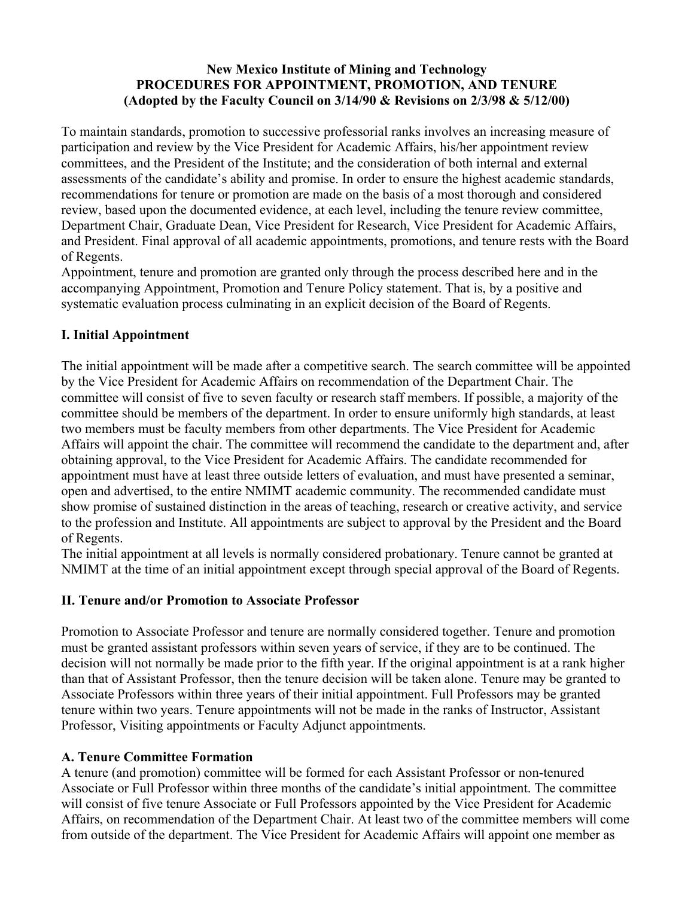# **New Mexico Institute of Mining and Technology PROCEDURES FOR APPOINTMENT, PROMOTION, AND TENURE (Adopted by the Faculty Council on 3/14/90 & Revisions on 2/3/98 & 5/12/00)**

To maintain standards, promotion to successive professorial ranks involves an increasing measure of participation and review by the Vice President for Academic Affairs, his/her appointment review committees, and the President of the Institute; and the consideration of both internal and external assessments of the candidate's ability and promise. In order to ensure the highest academic standards, recommendations for tenure or promotion are made on the basis of a most thorough and considered review, based upon the documented evidence, at each level, including the tenure review committee, Department Chair, Graduate Dean, Vice President for Research, Vice President for Academic Affairs, and President. Final approval of all academic appointments, promotions, and tenure rests with the Board of Regents.

Appointment, tenure and promotion are granted only through the process described here and in the accompanying Appointment, Promotion and Tenure Policy statement. That is, by a positive and systematic evaluation process culminating in an explicit decision of the Board of Regents.

# **I. Initial Appointment**

The initial appointment will be made after a competitive search. The search committee will be appointed by the Vice President for Academic Affairs on recommendation of the Department Chair. The committee will consist of five to seven faculty or research staff members. If possible, a majority of the committee should be members of the department. In order to ensure uniformly high standards, at least two members must be faculty members from other departments. The Vice President for Academic Affairs will appoint the chair. The committee will recommend the candidate to the department and, after obtaining approval, to the Vice President for Academic Affairs. The candidate recommended for appointment must have at least three outside letters of evaluation, and must have presented a seminar, open and advertised, to the entire NMIMT academic community. The recommended candidate must show promise of sustained distinction in the areas of teaching, research or creative activity, and service to the profession and Institute. All appointments are subject to approval by the President and the Board of Regents.

The initial appointment at all levels is normally considered probationary. Tenure cannot be granted at NMIMT at the time of an initial appointment except through special approval of the Board of Regents.

# **II. Tenure and/or Promotion to Associate Professor**

Promotion to Associate Professor and tenure are normally considered together. Tenure and promotion must be granted assistant professors within seven years of service, if they are to be continued. The decision will not normally be made prior to the fifth year. If the original appointment is at a rank higher than that of Assistant Professor, then the tenure decision will be taken alone. Tenure may be granted to Associate Professors within three years of their initial appointment. Full Professors may be granted tenure within two years. Tenure appointments will not be made in the ranks of Instructor, Assistant Professor, Visiting appointments or Faculty Adjunct appointments.

# **A. Tenure Committee Formation**

A tenure (and promotion) committee will be formed for each Assistant Professor or non-tenured Associate or Full Professor within three months of the candidate's initial appointment. The committee will consist of five tenure Associate or Full Professors appointed by the Vice President for Academic Affairs, on recommendation of the Department Chair. At least two of the committee members will come from outside of the department. The Vice President for Academic Affairs will appoint one member as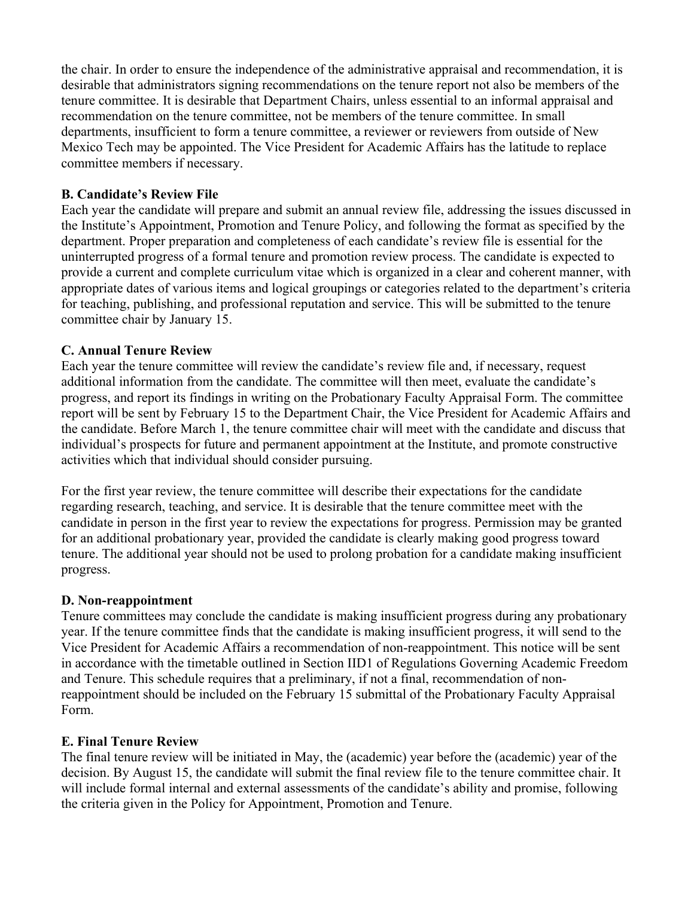the chair. In order to ensure the independence of the administrative appraisal and recommendation, it is desirable that administrators signing recommendations on the tenure report not also be members of the tenure committee. It is desirable that Department Chairs, unless essential to an informal appraisal and recommendation on the tenure committee, not be members of the tenure committee. In small departments, insufficient to form a tenure committee, a reviewer or reviewers from outside of New Mexico Tech may be appointed. The Vice President for Academic Affairs has the latitude to replace committee members if necessary.

#### **B. Candidate's Review File**

Each year the candidate will prepare and submit an annual review file, addressing the issues discussed in the Institute's Appointment, Promotion and Tenure Policy, and following the format as specified by the department. Proper preparation and completeness of each candidate's review file is essential for the uninterrupted progress of a formal tenure and promotion review process. The candidate is expected to provide a current and complete curriculum vitae which is organized in a clear and coherent manner, with appropriate dates of various items and logical groupings or categories related to the department's criteria for teaching, publishing, and professional reputation and service. This will be submitted to the tenure committee chair by January 15.

#### **C. Annual Tenure Review**

Each year the tenure committee will review the candidate's review file and, if necessary, request additional information from the candidate. The committee will then meet, evaluate the candidate's progress, and report its findings in writing on the Probationary Faculty Appraisal Form. The committee report will be sent by February 15 to the Department Chair, the Vice President for Academic Affairs and the candidate. Before March 1, the tenure committee chair will meet with the candidate and discuss that individual's prospects for future and permanent appointment at the Institute, and promote constructive activities which that individual should consider pursuing.

For the first year review, the tenure committee will describe their expectations for the candidate regarding research, teaching, and service. It is desirable that the tenure committee meet with the candidate in person in the first year to review the expectations for progress. Permission may be granted for an additional probationary year, provided the candidate is clearly making good progress toward tenure. The additional year should not be used to prolong probation for a candidate making insufficient progress.

#### **D. Non-reappointment**

Tenure committees may conclude the candidate is making insufficient progress during any probationary year. If the tenure committee finds that the candidate is making insufficient progress, it will send to the Vice President for Academic Affairs a recommendation of non-reappointment. This notice will be sent in accordance with the timetable outlined in Section IID1 of Regulations Governing Academic Freedom and Tenure. This schedule requires that a preliminary, if not a final, recommendation of nonreappointment should be included on the February 15 submittal of the Probationary Faculty Appraisal Form.

#### **E. Final Tenure Review**

The final tenure review will be initiated in May, the (academic) year before the (academic) year of the decision. By August 15, the candidate will submit the final review file to the tenure committee chair. It will include formal internal and external assessments of the candidate's ability and promise, following the criteria given in the Policy for Appointment, Promotion and Tenure.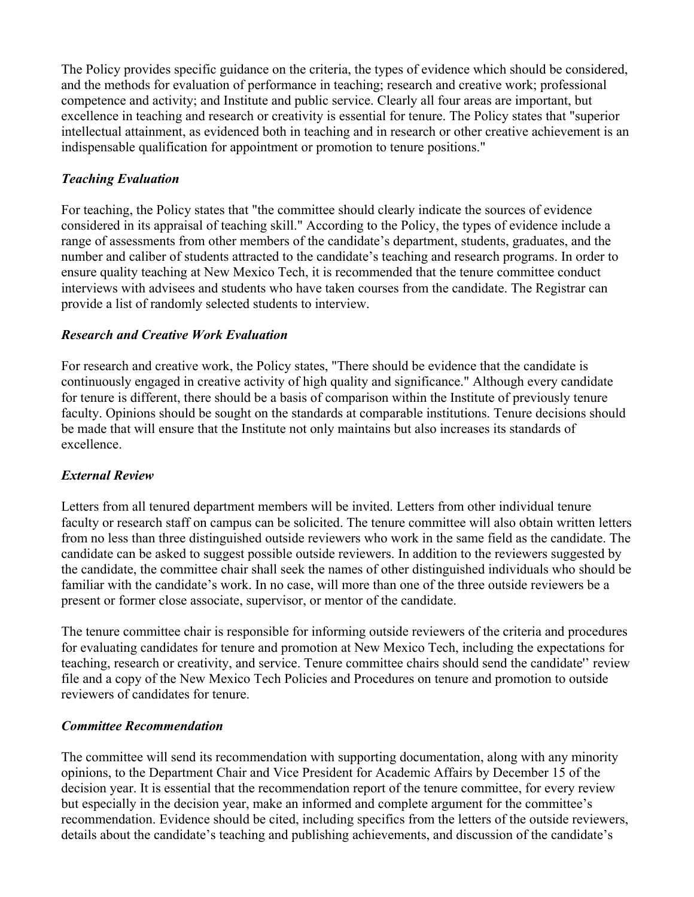The Policy provides specific guidance on the criteria, the types of evidence which should be considered, and the methods for evaluation of performance in teaching; research and creative work; professional competence and activity; and Institute and public service. Clearly all four areas are important, but excellence in teaching and research or creativity is essential for tenure. The Policy states that "superior intellectual attainment, as evidenced both in teaching and in research or other creative achievement is an indispensable qualification for appointment or promotion to tenure positions."

# *Teaching Evaluation*

For teaching, the Policy states that "the committee should clearly indicate the sources of evidence considered in its appraisal of teaching skill." According to the Policy, the types of evidence include a range of assessments from other members of the candidate's department, students, graduates, and the number and caliber of students attracted to the candidate's teaching and research programs. In order to ensure quality teaching at New Mexico Tech, it is recommended that the tenure committee conduct interviews with advisees and students who have taken courses from the candidate. The Registrar can provide a list of randomly selected students to interview.

# *Research and Creative Work Evaluation*

For research and creative work, the Policy states, "There should be evidence that the candidate is continuously engaged in creative activity of high quality and significance." Although every candidate for tenure is different, there should be a basis of comparison within the Institute of previously tenure faculty. Opinions should be sought on the standards at comparable institutions. Tenure decisions should be made that will ensure that the Institute not only maintains but also increases its standards of excellence.

# *External Review*

Letters from all tenured department members will be invited. Letters from other individual tenure faculty or research staff on campus can be solicited. The tenure committee will also obtain written letters from no less than three distinguished outside reviewers who work in the same field as the candidate. The candidate can be asked to suggest possible outside reviewers. In addition to the reviewers suggested by the candidate, the committee chair shall seek the names of other distinguished individuals who should be familiar with the candidate's work. In no case, will more than one of the three outside reviewers be a present or former close associate, supervisor, or mentor of the candidate.

The tenure committee chair is responsible for informing outside reviewers of the criteria and procedures for evaluating candidates for tenure and promotion at New Mexico Tech, including the expectations for teaching, research or creativity, and service. Tenure committee chairs should send the candidate'' review file and a copy of the New Mexico Tech Policies and Procedures on tenure and promotion to outside reviewers of candidates for tenure.

# *Committee Recommendation*

The committee will send its recommendation with supporting documentation, along with any minority opinions, to the Department Chair and Vice President for Academic Affairs by December 15 of the decision year. It is essential that the recommendation report of the tenure committee, for every review but especially in the decision year, make an informed and complete argument for the committee's recommendation. Evidence should be cited, including specifics from the letters of the outside reviewers, details about the candidate's teaching and publishing achievements, and discussion of the candidate's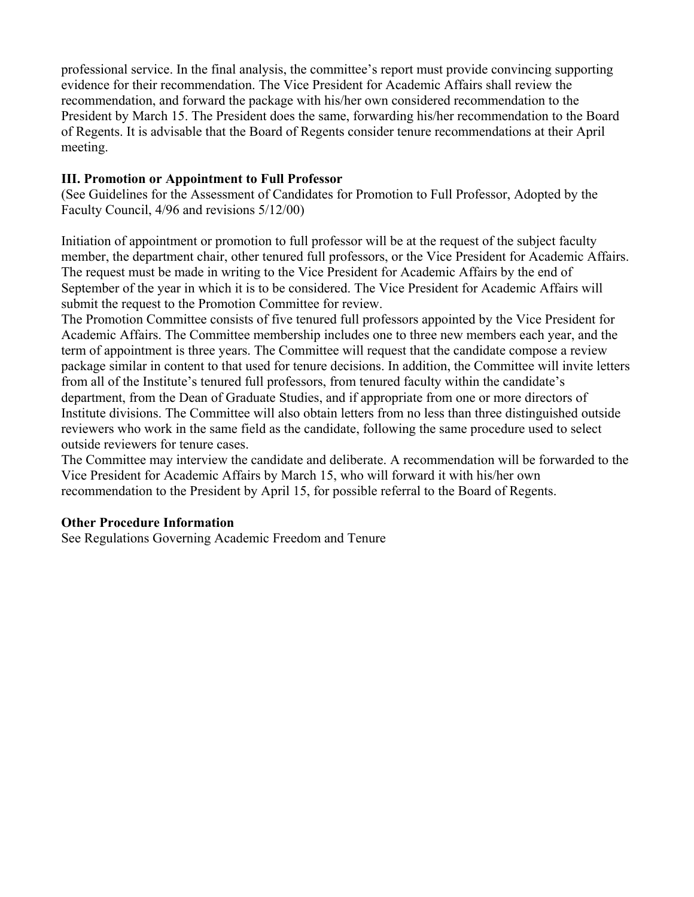professional service. In the final analysis, the committee's report must provide convincing supporting evidence for their recommendation. The Vice President for Academic Affairs shall review the recommendation, and forward the package with his/her own considered recommendation to the President by March 15. The President does the same, forwarding his/her recommendation to the Board of Regents. It is advisable that the Board of Regents consider tenure recommendations at their April meeting.

#### **III. Promotion or Appointment to Full Professor**

(See Guidelines for the Assessment of Candidates for Promotion to Full Professor, Adopted by the Faculty Council, 4/96 and revisions 5/12/00)

Initiation of appointment or promotion to full professor will be at the request of the subject faculty member, the department chair, other tenured full professors, or the Vice President for Academic Affairs. The request must be made in writing to the Vice President for Academic Affairs by the end of September of the year in which it is to be considered. The Vice President for Academic Affairs will submit the request to the Promotion Committee for review.

The Promotion Committee consists of five tenured full professors appointed by the Vice President for Academic Affairs. The Committee membership includes one to three new members each year, and the term of appointment is three years. The Committee will request that the candidate compose a review package similar in content to that used for tenure decisions. In addition, the Committee will invite letters from all of the Institute's tenured full professors, from tenured faculty within the candidate's department, from the Dean of Graduate Studies, and if appropriate from one or more directors of Institute divisions. The Committee will also obtain letters from no less than three distinguished outside reviewers who work in the same field as the candidate, following the same procedure used to select outside reviewers for tenure cases.

The Committee may interview the candidate and deliberate. A recommendation will be forwarded to the Vice President for Academic Affairs by March 15, who will forward it with his/her own recommendation to the President by April 15, for possible referral to the Board of Regents.

#### **Other Procedure Information**

See Regulations Governing Academic Freedom and Tenure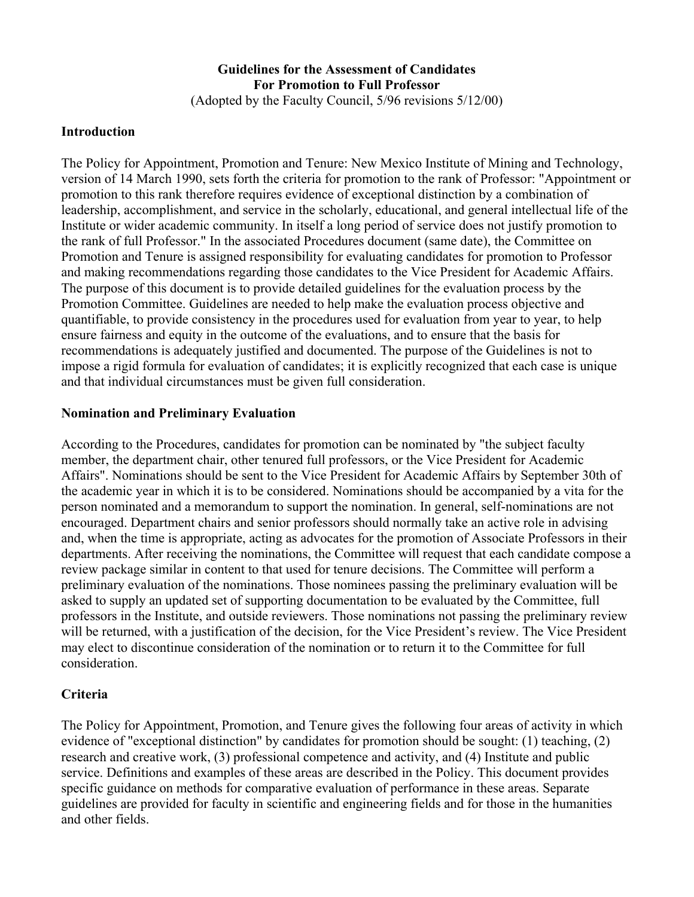# **Guidelines for the Assessment of Candidates For Promotion to Full Professor**

(Adopted by the Faculty Council, 5/96 revisions 5/12/00)

# **Introduction**

The Policy for Appointment, Promotion and Tenure: New Mexico Institute of Mining and Technology, version of 14 March 1990, sets forth the criteria for promotion to the rank of Professor: "Appointment or promotion to this rank therefore requires evidence of exceptional distinction by a combination of leadership, accomplishment, and service in the scholarly, educational, and general intellectual life of the Institute or wider academic community. In itself a long period of service does not justify promotion to the rank of full Professor." In the associated Procedures document (same date), the Committee on Promotion and Tenure is assigned responsibility for evaluating candidates for promotion to Professor and making recommendations regarding those candidates to the Vice President for Academic Affairs. The purpose of this document is to provide detailed guidelines for the evaluation process by the Promotion Committee. Guidelines are needed to help make the evaluation process objective and quantifiable, to provide consistency in the procedures used for evaluation from year to year, to help ensure fairness and equity in the outcome of the evaluations, and to ensure that the basis for recommendations is adequately justified and documented. The purpose of the Guidelines is not to impose a rigid formula for evaluation of candidates; it is explicitly recognized that each case is unique and that individual circumstances must be given full consideration.

# **Nomination and Preliminary Evaluation**

According to the Procedures, candidates for promotion can be nominated by "the subject faculty member, the department chair, other tenured full professors, or the Vice President for Academic Affairs". Nominations should be sent to the Vice President for Academic Affairs by September 30th of the academic year in which it is to be considered. Nominations should be accompanied by a vita for the person nominated and a memorandum to support the nomination. In general, self-nominations are not encouraged. Department chairs and senior professors should normally take an active role in advising and, when the time is appropriate, acting as advocates for the promotion of Associate Professors in their departments. After receiving the nominations, the Committee will request that each candidate compose a review package similar in content to that used for tenure decisions. The Committee will perform a preliminary evaluation of the nominations. Those nominees passing the preliminary evaluation will be asked to supply an updated set of supporting documentation to be evaluated by the Committee, full professors in the Institute, and outside reviewers. Those nominations not passing the preliminary review will be returned, with a justification of the decision, for the Vice President's review. The Vice President may elect to discontinue consideration of the nomination or to return it to the Committee for full consideration.

# **Criteria**

The Policy for Appointment, Promotion, and Tenure gives the following four areas of activity in which evidence of "exceptional distinction" by candidates for promotion should be sought: (1) teaching, (2) research and creative work, (3) professional competence and activity, and (4) Institute and public service. Definitions and examples of these areas are described in the Policy. This document provides specific guidance on methods for comparative evaluation of performance in these areas. Separate guidelines are provided for faculty in scientific and engineering fields and for those in the humanities and other fields.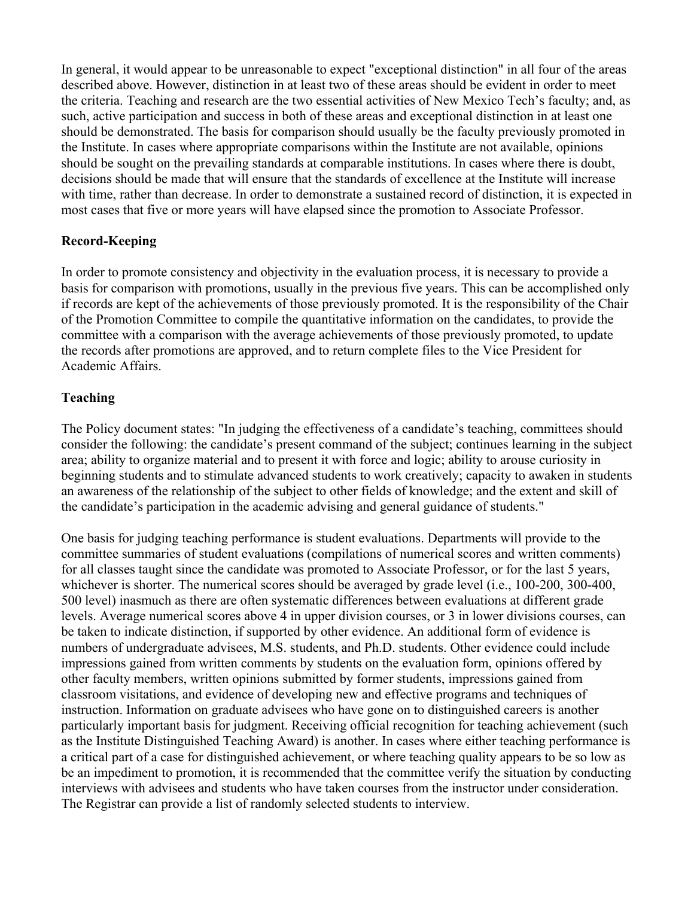In general, it would appear to be unreasonable to expect "exceptional distinction" in all four of the areas described above. However, distinction in at least two of these areas should be evident in order to meet the criteria. Teaching and research are the two essential activities of New Mexico Tech's faculty; and, as such, active participation and success in both of these areas and exceptional distinction in at least one should be demonstrated. The basis for comparison should usually be the faculty previously promoted in the Institute. In cases where appropriate comparisons within the Institute are not available, opinions should be sought on the prevailing standards at comparable institutions. In cases where there is doubt, decisions should be made that will ensure that the standards of excellence at the Institute will increase with time, rather than decrease. In order to demonstrate a sustained record of distinction, it is expected in most cases that five or more years will have elapsed since the promotion to Associate Professor.

# **Record-Keeping**

In order to promote consistency and objectivity in the evaluation process, it is necessary to provide a basis for comparison with promotions, usually in the previous five years. This can be accomplished only if records are kept of the achievements of those previously promoted. It is the responsibility of the Chair of the Promotion Committee to compile the quantitative information on the candidates, to provide the committee with a comparison with the average achievements of those previously promoted, to update the records after promotions are approved, and to return complete files to the Vice President for Academic Affairs.

# **Teaching**

The Policy document states: "In judging the effectiveness of a candidate's teaching, committees should consider the following: the candidate's present command of the subject; continues learning in the subject area; ability to organize material and to present it with force and logic; ability to arouse curiosity in beginning students and to stimulate advanced students to work creatively; capacity to awaken in students an awareness of the relationship of the subject to other fields of knowledge; and the extent and skill of the candidate's participation in the academic advising and general guidance of students."

One basis for judging teaching performance is student evaluations. Departments will provide to the committee summaries of student evaluations (compilations of numerical scores and written comments) for all classes taught since the candidate was promoted to Associate Professor, or for the last 5 years, whichever is shorter. The numerical scores should be averaged by grade level (i.e., 100-200, 300-400, 500 level) inasmuch as there are often systematic differences between evaluations at different grade levels. Average numerical scores above 4 in upper division courses, or 3 in lower divisions courses, can be taken to indicate distinction, if supported by other evidence. An additional form of evidence is numbers of undergraduate advisees, M.S. students, and Ph.D. students. Other evidence could include impressions gained from written comments by students on the evaluation form, opinions offered by other faculty members, written opinions submitted by former students, impressions gained from classroom visitations, and evidence of developing new and effective programs and techniques of instruction. Information on graduate advisees who have gone on to distinguished careers is another particularly important basis for judgment. Receiving official recognition for teaching achievement (such as the Institute Distinguished Teaching Award) is another. In cases where either teaching performance is a critical part of a case for distinguished achievement, or where teaching quality appears to be so low as be an impediment to promotion, it is recommended that the committee verify the situation by conducting interviews with advisees and students who have taken courses from the instructor under consideration. The Registrar can provide a list of randomly selected students to interview.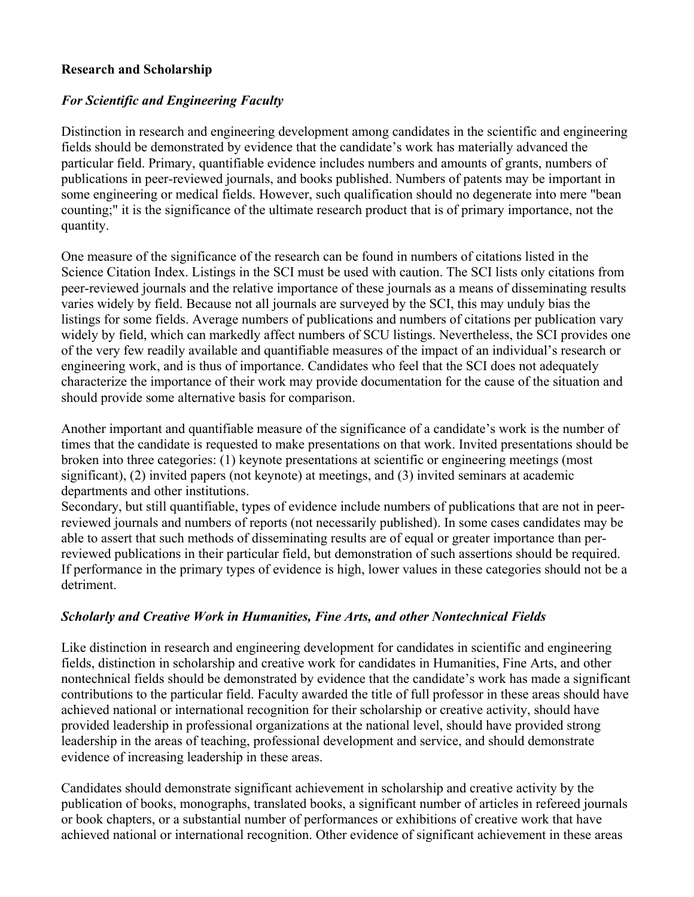#### **Research and Scholarship**

# *For Scientific and Engineering Faculty*

Distinction in research and engineering development among candidates in the scientific and engineering fields should be demonstrated by evidence that the candidate's work has materially advanced the particular field. Primary, quantifiable evidence includes numbers and amounts of grants, numbers of publications in peer-reviewed journals, and books published. Numbers of patents may be important in some engineering or medical fields. However, such qualification should no degenerate into mere "bean counting;" it is the significance of the ultimate research product that is of primary importance, not the quantity.

One measure of the significance of the research can be found in numbers of citations listed in the Science Citation Index. Listings in the SCI must be used with caution. The SCI lists only citations from peer-reviewed journals and the relative importance of these journals as a means of disseminating results varies widely by field. Because not all journals are surveyed by the SCI, this may unduly bias the listings for some fields. Average numbers of publications and numbers of citations per publication vary widely by field, which can markedly affect numbers of SCU listings. Nevertheless, the SCI provides one of the very few readily available and quantifiable measures of the impact of an individual's research or engineering work, and is thus of importance. Candidates who feel that the SCI does not adequately characterize the importance of their work may provide documentation for the cause of the situation and should provide some alternative basis for comparison.

Another important and quantifiable measure of the significance of a candidate's work is the number of times that the candidate is requested to make presentations on that work. Invited presentations should be broken into three categories: (1) keynote presentations at scientific or engineering meetings (most significant), (2) invited papers (not keynote) at meetings, and (3) invited seminars at academic departments and other institutions.

Secondary, but still quantifiable, types of evidence include numbers of publications that are not in peerreviewed journals and numbers of reports (not necessarily published). In some cases candidates may be able to assert that such methods of disseminating results are of equal or greater importance than perreviewed publications in their particular field, but demonstration of such assertions should be required. If performance in the primary types of evidence is high, lower values in these categories should not be a detriment.

# *Scholarly and Creative Work in Humanities, Fine Arts, and other Nontechnical Fields*

Like distinction in research and engineering development for candidates in scientific and engineering fields, distinction in scholarship and creative work for candidates in Humanities, Fine Arts, and other nontechnical fields should be demonstrated by evidence that the candidate's work has made a significant contributions to the particular field. Faculty awarded the title of full professor in these areas should have achieved national or international recognition for their scholarship or creative activity, should have provided leadership in professional organizations at the national level, should have provided strong leadership in the areas of teaching, professional development and service, and should demonstrate evidence of increasing leadership in these areas.

Candidates should demonstrate significant achievement in scholarship and creative activity by the publication of books, monographs, translated books, a significant number of articles in refereed journals or book chapters, or a substantial number of performances or exhibitions of creative work that have achieved national or international recognition. Other evidence of significant achievement in these areas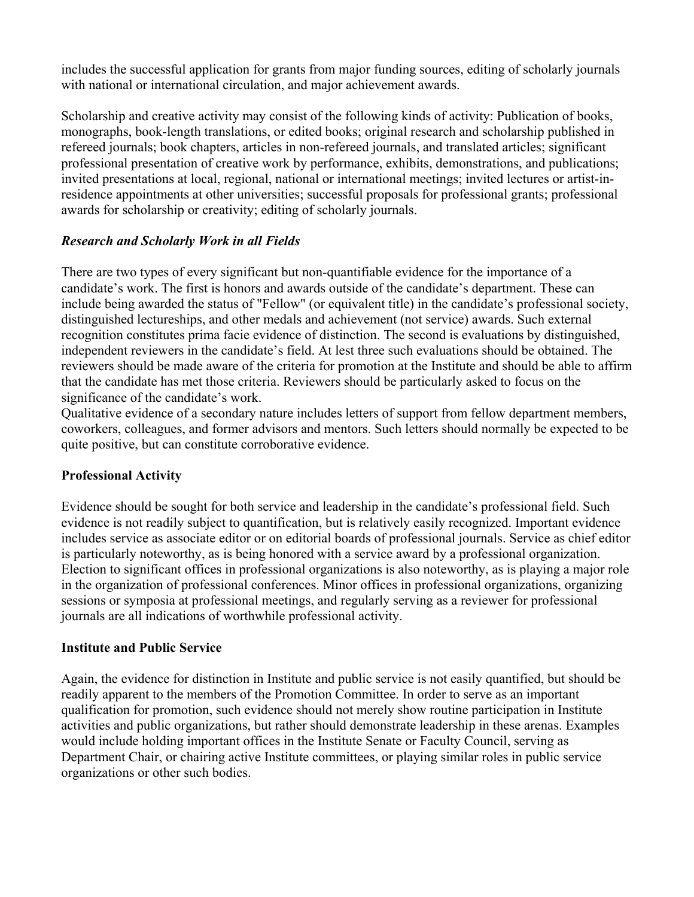includes the successful application for grants from major funding sources, editing of scholarly journals with national or international circulation, and major achievement awards.

Scholarship and creative activity may consist of the following kinds of activity: Publication of books, monographs, book-length translations, or edited books; original research and scholarship published in refereed journals; book chapters, articles in non-refereed journals, and translated articles; significant professional presentation of creative work by performance, exhibits, demonstrations, and publications; invited presentations at local, regional, national or international meetings; invited lectures or artist-inresidence appointments at other universities; successful proposals for professional grants; professional awards for scholarship or creativity; editing of scholarly journals.

# *Research and Scholarly Work in all Fields*

There are two types of every significant but non-quantifiable evidence for the importance of a candidate's work. The first is honors and awards outside of the candidate's department. These can include being awarded the status of "Fellow" (or equivalent title) in the candidate's professional society, distinguished lectureships, and other medals and achievement (not service) awards. Such external recognition constitutes prima facie evidence of distinction. The second is evaluations by distinguished, independent reviewers in the candidate's field. At lest three such evaluations should be obtained. The reviewers should be made aware of the criteria for promotion at the Institute and should be able to affirm that the candidate has met those criteria. Reviewers should be particularly asked to focus on the significance of the candidate's work.

Qualitative evidence of a secondary nature includes letters of support from fellow department members, coworkers, colleagues, and former advisors and mentors. Such letters should normally be expected to be quite positive, but can constitute corroborative evidence.

# **Professional Activity**

Evidence should be sought for both service and leadership in the candidate's professional field. Such evidence is not readily subject to quantification, but is relatively easily recognized. Important evidence includes service as associate editor or on editorial boards of professional journals. Service as chief editor is particularly noteworthy, as is being honored with a service award by a professional organization. Election to significant offices in professional organizations is also noteworthy, as is playing a major role in the organization of professional conferences. Minor offices in professional organizations, organizing sessions or symposia at professional meetings, and regularly serving as a reviewer for professional journals are all indications of worthwhile professional activity.

# **Institute and Public Service**

Again, the evidence for distinction in Institute and public service is not easily quantified, but should be readily apparent to the members of the Promotion Committee. In order to serve as an important qualification for promotion, such evidence should not merely show routine participation in Institute activities and public organizations, but rather should demonstrate leadership in these arenas. Examples would include holding important offices in the Institute Senate or Faculty Council, serving as Department Chair, or chairing active Institute committees, or playing similar roles in public service organizations or other such bodies.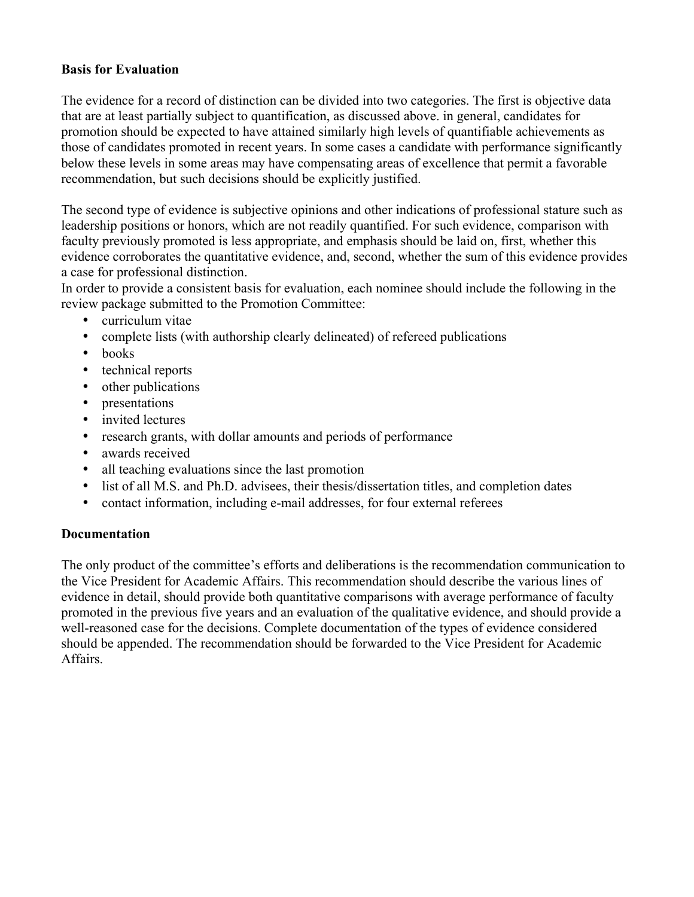# **Basis for Evaluation**

The evidence for a record of distinction can be divided into two categories. The first is objective data that are at least partially subject to quantification, as discussed above. in general, candidates for promotion should be expected to have attained similarly high levels of quantifiable achievements as those of candidates promoted in recent years. In some cases a candidate with performance significantly below these levels in some areas may have compensating areas of excellence that permit a favorable recommendation, but such decisions should be explicitly justified.

The second type of evidence is subjective opinions and other indications of professional stature such as leadership positions or honors, which are not readily quantified. For such evidence, comparison with faculty previously promoted is less appropriate, and emphasis should be laid on, first, whether this evidence corroborates the quantitative evidence, and, second, whether the sum of this evidence provides a case for professional distinction.

In order to provide a consistent basis for evaluation, each nominee should include the following in the review package submitted to the Promotion Committee:

- curriculum vitae
- complete lists (with authorship clearly delineated) of refereed publications
- books
- technical reports
- other publications
- presentations
- invited lectures
- research grants, with dollar amounts and periods of performance
- awards received
- all teaching evaluations since the last promotion
- list of all M.S. and Ph.D. advisees, their thesis/dissertation titles, and completion dates
- contact information, including e-mail addresses, for four external referees

# **Documentation**

The only product of the committee's efforts and deliberations is the recommendation communication to the Vice President for Academic Affairs. This recommendation should describe the various lines of evidence in detail, should provide both quantitative comparisons with average performance of faculty promoted in the previous five years and an evaluation of the qualitative evidence, and should provide a well-reasoned case for the decisions. Complete documentation of the types of evidence considered should be appended. The recommendation should be forwarded to the Vice President for Academic Affairs.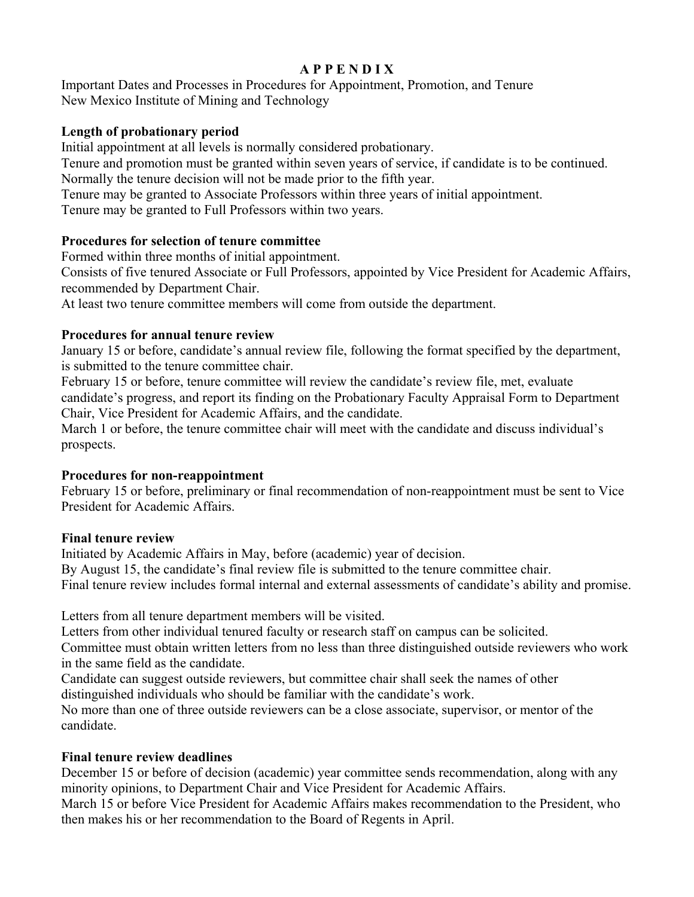# **A P P E N D I X**

Important Dates and Processes in Procedures for Appointment, Promotion, and Tenure New Mexico Institute of Mining and Technology

# **Length of probationary period**

Initial appointment at all levels is normally considered probationary.

Tenure and promotion must be granted within seven years of service, if candidate is to be continued. Normally the tenure decision will not be made prior to the fifth year.

Tenure may be granted to Associate Professors within three years of initial appointment.

Tenure may be granted to Full Professors within two years.

# **Procedures for selection of tenure committee**

Formed within three months of initial appointment.

Consists of five tenured Associate or Full Professors, appointed by Vice President for Academic Affairs, recommended by Department Chair.

At least two tenure committee members will come from outside the department.

# **Procedures for annual tenure review**

January 15 or before, candidate's annual review file, following the format specified by the department, is submitted to the tenure committee chair.

February 15 or before, tenure committee will review the candidate's review file, met, evaluate candidate's progress, and report its finding on the Probationary Faculty Appraisal Form to Department Chair, Vice President for Academic Affairs, and the candidate.

March 1 or before, the tenure committee chair will meet with the candidate and discuss individual's prospects.

# **Procedures for non-reappointment**

February 15 or before, preliminary or final recommendation of non-reappointment must be sent to Vice President for Academic Affairs.

# **Final tenure review**

Initiated by Academic Affairs in May, before (academic) year of decision. By August 15, the candidate's final review file is submitted to the tenure committee chair. Final tenure review includes formal internal and external assessments of candidate's ability and promise.

Letters from all tenure department members will be visited.

Letters from other individual tenured faculty or research staff on campus can be solicited.

Committee must obtain written letters from no less than three distinguished outside reviewers who work in the same field as the candidate.

Candidate can suggest outside reviewers, but committee chair shall seek the names of other distinguished individuals who should be familiar with the candidate's work.

No more than one of three outside reviewers can be a close associate, supervisor, or mentor of the candidate.

# **Final tenure review deadlines**

December 15 or before of decision (academic) year committee sends recommendation, along with any minority opinions, to Department Chair and Vice President for Academic Affairs.

March 15 or before Vice President for Academic Affairs makes recommendation to the President, who then makes his or her recommendation to the Board of Regents in April.